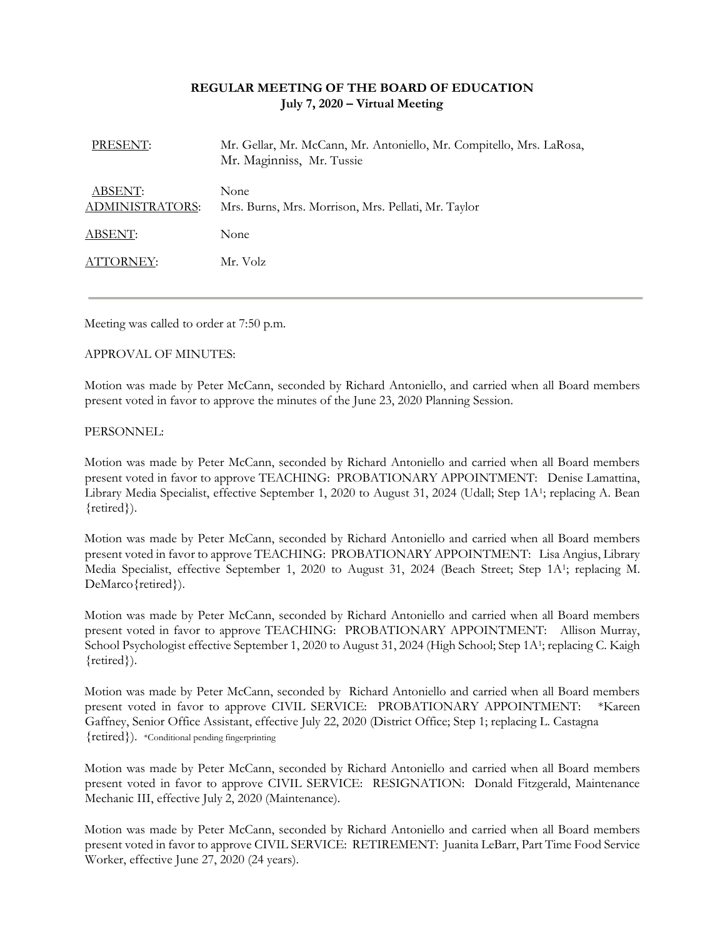# **REGULAR MEETING OF THE BOARD OF EDUCATION July 7, 2020 – Virtual Meeting**

| PRESENT:                                 | Mr. Gellar, Mr. McCann, Mr. Antoniello, Mr. Compitello, Mrs. LaRosa,<br>Mr. Maginniss, Mr. Tussie |
|------------------------------------------|---------------------------------------------------------------------------------------------------|
| <b>ABSENT:</b><br><b>ADMINISTRATORS:</b> | None<br>Mrs. Burns, Mrs. Morrison, Mrs. Pellati, Mr. Taylor                                       |
| ABSENT:                                  | None                                                                                              |
| ATTORNEY:                                | Mr. Volz                                                                                          |

Meeting was called to order at 7:50 p.m.

### APPROVAL OF MINUTES:

Motion was made by Peter McCann, seconded by Richard Antoniello, and carried when all Board members present voted in favor to approve the minutes of the June 23, 2020 Planning Session.

### PERSONNEL:

Motion was made by Peter McCann, seconded by Richard Antoniello and carried when all Board members present voted in favor to approve TEACHING: PROBATIONARY APPOINTMENT: Denise Lamattina, Library Media Specialist, effective September 1, 2020 to August 31, 2024 (Udall; Step 1A<sup>1</sup>; replacing A. Bean {retired}).

Motion was made by Peter McCann, seconded by Richard Antoniello and carried when all Board members present voted in favor to approve TEACHING: PROBATIONARY APPOINTMENT: Lisa Angius, Library Media Specialist, effective September 1, 2020 to August 31, 2024 (Beach Street; Step 1A<sup>1</sup>; replacing M. DeMarco {retired}).

Motion was made by Peter McCann, seconded by Richard Antoniello and carried when all Board members present voted in favor to approve TEACHING: PROBATIONARY APPOINTMENT: Allison Murray, School Psychologist effective September 1, 2020 to August 31, 2024 (High School; Step 1A<sup>1</sup>; replacing C. Kaigh {retired}).

Motion was made by Peter McCann, seconded by Richard Antoniello and carried when all Board members present voted in favor to approve CIVIL SERVICE: PROBATIONARY APPOINTMENT: \*Kareen Gaffney, Senior Office Assistant, effective July 22, 2020 (District Office; Step 1; replacing L. Castagna {retired}). \*Conditional pending fingerprinting

Motion was made by Peter McCann, seconded by Richard Antoniello and carried when all Board members present voted in favor to approve CIVIL SERVICE: RESIGNATION: Donald Fitzgerald, Maintenance Mechanic III, effective July 2, 2020 (Maintenance).

Motion was made by Peter McCann, seconded by Richard Antoniello and carried when all Board members present voted in favor to approve CIVIL SERVICE: RETIREMENT: Juanita LeBarr, Part Time Food Service Worker, effective June 27, 2020 (24 years).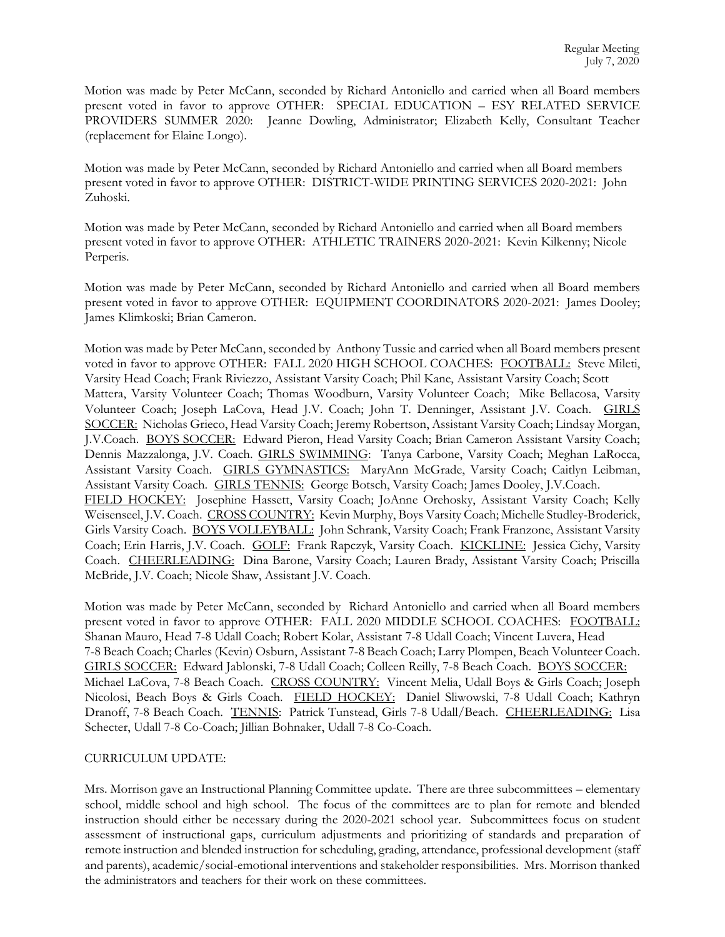Motion was made by Peter McCann, seconded by Richard Antoniello and carried when all Board members present voted in favor to approve OTHER: SPECIAL EDUCATION – ESY RELATED SERVICE PROVIDERS SUMMER 2020: Jeanne Dowling, Administrator; Elizabeth Kelly, Consultant Teacher (replacement for Elaine Longo).

Motion was made by Peter McCann, seconded by Richard Antoniello and carried when all Board members present voted in favor to approve OTHER: DISTRICT-WIDE PRINTING SERVICES 2020-2021: John Zuhoski.

Motion was made by Peter McCann, seconded by Richard Antoniello and carried when all Board members present voted in favor to approve OTHER: ATHLETIC TRAINERS 2020-2021: Kevin Kilkenny; Nicole Perperis.

Motion was made by Peter McCann, seconded by Richard Antoniello and carried when all Board members present voted in favor to approve OTHER: EQUIPMENT COORDINATORS 2020-2021: James Dooley; James Klimkoski; Brian Cameron.

Motion was made by Peter McCann, seconded by Anthony Tussie and carried when all Board members present voted in favor to approve OTHER: FALL 2020 HIGH SCHOOL COACHES: FOOTBALL: Steve Mileti, Varsity Head Coach; Frank Riviezzo, Assistant Varsity Coach; Phil Kane, Assistant Varsity Coach; Scott Mattera, Varsity Volunteer Coach; Thomas Woodburn, Varsity Volunteer Coach; Mike Bellacosa, Varsity Volunteer Coach; Joseph LaCova, Head J.V. Coach; John T. Denninger, Assistant J.V. Coach. GIRLS SOCCER: Nicholas Grieco, Head Varsity Coach; Jeremy Robertson, Assistant Varsity Coach; Lindsay Morgan, J.V.Coach. BOYS SOCCER: Edward Pieron, Head Varsity Coach; Brian Cameron Assistant Varsity Coach; Dennis Mazzalonga, J.V. Coach. GIRLS SWIMMING: Tanya Carbone, Varsity Coach; Meghan LaRocca, Assistant Varsity Coach. GIRLS GYMNASTICS: MaryAnn McGrade, Varsity Coach; Caitlyn Leibman, Assistant Varsity Coach. GIRLS TENNIS: George Botsch, Varsity Coach; James Dooley, J.V.Coach. FIELD HOCKEY: Josephine Hassett, Varsity Coach; JoAnne Orehosky, Assistant Varsity Coach; Kelly Weisenseel, J.V. Coach. CROSS COUNTRY: Kevin Murphy, Boys Varsity Coach; Michelle Studley-Broderick, Girls Varsity Coach. BOYS VOLLEYBALL: John Schrank, Varsity Coach; Frank Franzone, Assistant Varsity Coach; Erin Harris, J.V. Coach. GOLF: Frank Rapczyk, Varsity Coach. KICKLINE: Jessica Cichy, Varsity Coach. CHEERLEADING: Dina Barone, Varsity Coach; Lauren Brady, Assistant Varsity Coach; Priscilla McBride, J.V. Coach; Nicole Shaw, Assistant J.V. Coach.

Motion was made by Peter McCann, seconded by Richard Antoniello and carried when all Board members present voted in favor to approve OTHER: FALL 2020 MIDDLE SCHOOL COACHES: FOOTBALL: Shanan Mauro, Head 7-8 Udall Coach; Robert Kolar, Assistant 7-8 Udall Coach; Vincent Luvera, Head 7-8 Beach Coach; Charles (Kevin) Osburn, Assistant 7-8 Beach Coach; Larry Plompen, Beach Volunteer Coach. GIRLS SOCCER: Edward Jablonski, 7-8 Udall Coach; Colleen Reilly, 7-8 Beach Coach. BOYS SOCCER: Michael LaCova, 7-8 Beach Coach. CROSS COUNTRY: Vincent Melia, Udall Boys & Girls Coach; Joseph Nicolosi, Beach Boys & Girls Coach. FIELD HOCKEY: Daniel Sliwowski, 7-8 Udall Coach; Kathryn Dranoff, 7-8 Beach Coach. TENNIS: Patrick Tunstead, Girls 7-8 Udall/Beach. CHEERLEADING: Lisa Schecter, Udall 7-8 Co-Coach; Jillian Bohnaker, Udall 7-8 Co-Coach.

# CURRICULUM UPDATE:

Mrs. Morrison gave an Instructional Planning Committee update. There are three subcommittees – elementary school, middle school and high school. The focus of the committees are to plan for remote and blended instruction should either be necessary during the 2020-2021 school year. Subcommittees focus on student assessment of instructional gaps, curriculum adjustments and prioritizing of standards and preparation of remote instruction and blended instruction for scheduling, grading, attendance, professional development (staff and parents), academic/social-emotional interventions and stakeholder responsibilities. Mrs. Morrison thanked the administrators and teachers for their work on these committees.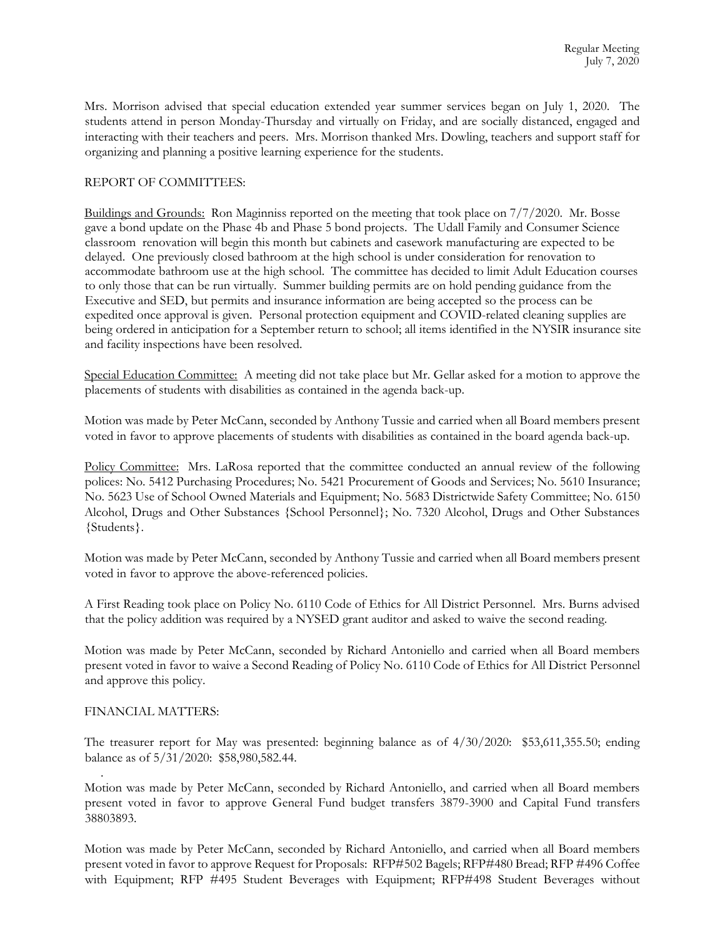Mrs. Morrison advised that special education extended year summer services began on July 1, 2020. The students attend in person Monday-Thursday and virtually on Friday, and are socially distanced, engaged and interacting with their teachers and peers. Mrs. Morrison thanked Mrs. Dowling, teachers and support staff for organizing and planning a positive learning experience for the students.

### REPORT OF COMMITTEES:

Buildings and Grounds: Ron Maginniss reported on the meeting that took place on 7/7/2020. Mr. Bosse gave a bond update on the Phase 4b and Phase 5 bond projects. The Udall Family and Consumer Science classroom renovation will begin this month but cabinets and casework manufacturing are expected to be delayed. One previously closed bathroom at the high school is under consideration for renovation to accommodate bathroom use at the high school. The committee has decided to limit Adult Education courses to only those that can be run virtually. Summer building permits are on hold pending guidance from the Executive and SED, but permits and insurance information are being accepted so the process can be expedited once approval is given. Personal protection equipment and COVID-related cleaning supplies are being ordered in anticipation for a September return to school; all items identified in the NYSIR insurance site and facility inspections have been resolved.

Special Education Committee: A meeting did not take place but Mr. Gellar asked for a motion to approve the placements of students with disabilities as contained in the agenda back-up.

Motion was made by Peter McCann, seconded by Anthony Tussie and carried when all Board members present voted in favor to approve placements of students with disabilities as contained in the board agenda back-up.

Policy Committee: Mrs. LaRosa reported that the committee conducted an annual review of the following polices: No. 5412 Purchasing Procedures; No. 5421 Procurement of Goods and Services; No. 5610 Insurance; No. 5623 Use of School Owned Materials and Equipment; No. 5683 Districtwide Safety Committee; No. 6150 Alcohol, Drugs and Other Substances {School Personnel}; No. 7320 Alcohol, Drugs and Other Substances {Students}.

Motion was made by Peter McCann, seconded by Anthony Tussie and carried when all Board members present voted in favor to approve the above-referenced policies.

A First Reading took place on Policy No. 6110 Code of Ethics for All District Personnel. Mrs. Burns advised that the policy addition was required by a NYSED grant auditor and asked to waive the second reading.

Motion was made by Peter McCann, seconded by Richard Antoniello and carried when all Board members present voted in favor to waive a Second Reading of Policy No. 6110 Code of Ethics for All District Personnel and approve this policy.

### FINANCIAL MATTERS:

.

The treasurer report for May was presented: beginning balance as of 4/30/2020: \$53,611,355.50; ending balance as of 5/31/2020: \$58,980,582.44.

Motion was made by Peter McCann, seconded by Richard Antoniello, and carried when all Board members present voted in favor to approve General Fund budget transfers 3879-3900 and Capital Fund transfers 38803893.

Motion was made by Peter McCann, seconded by Richard Antoniello, and carried when all Board members present voted in favor to approve Request for Proposals: RFP#502 Bagels; RFP#480 Bread; RFP #496 Coffee with Equipment; RFP #495 Student Beverages with Equipment; RFP#498 Student Beverages without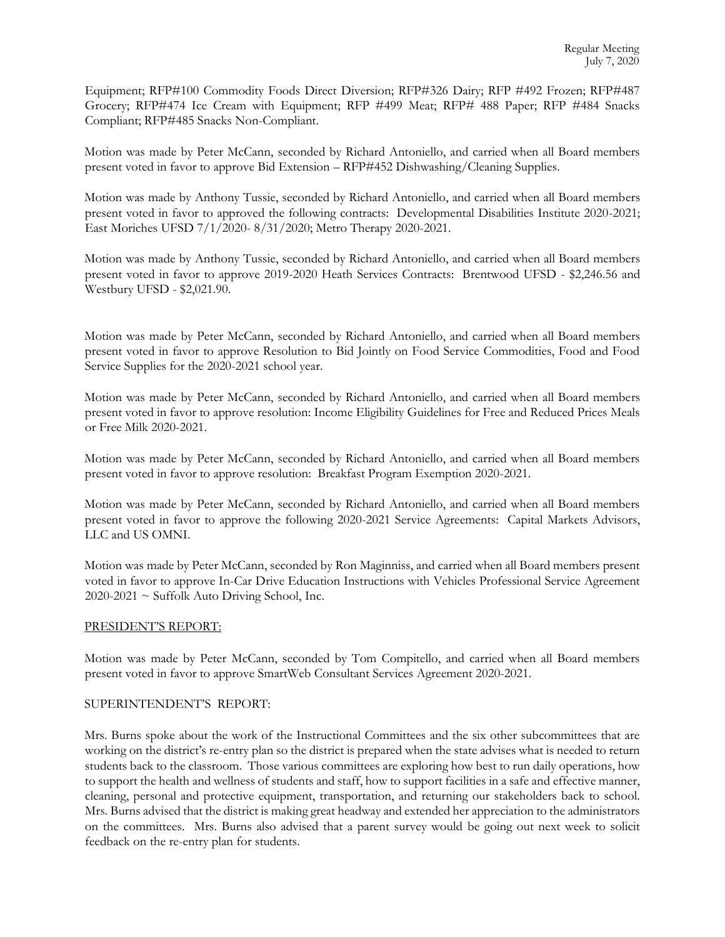Equipment; RFP#100 Commodity Foods Direct Diversion; RFP#326 Dairy; RFP #492 Frozen; RFP#487 Grocery; RFP#474 Ice Cream with Equipment; RFP #499 Meat; RFP# 488 Paper; RFP #484 Snacks Compliant; RFP#485 Snacks Non-Compliant.

Motion was made by Peter McCann, seconded by Richard Antoniello, and carried when all Board members present voted in favor to approve Bid Extension – RFP#452 Dishwashing/Cleaning Supplies.

Motion was made by Anthony Tussie, seconded by Richard Antoniello, and carried when all Board members present voted in favor to approved the following contracts: Developmental Disabilities Institute 2020-2021; East Moriches UFSD 7/1/2020- 8/31/2020; Metro Therapy 2020-2021.

Motion was made by Anthony Tussie, seconded by Richard Antoniello, and carried when all Board members present voted in favor to approve 2019-2020 Heath Services Contracts: Brentwood UFSD - \$2,246.56 and Westbury UFSD - \$2,021.90.

Motion was made by Peter McCann, seconded by Richard Antoniello, and carried when all Board members present voted in favor to approve Resolution to Bid Jointly on Food Service Commodities, Food and Food Service Supplies for the 2020-2021 school year.

Motion was made by Peter McCann, seconded by Richard Antoniello, and carried when all Board members present voted in favor to approve resolution: Income Eligibility Guidelines for Free and Reduced Prices Meals or Free Milk 2020-2021.

Motion was made by Peter McCann, seconded by Richard Antoniello, and carried when all Board members present voted in favor to approve resolution: Breakfast Program Exemption 2020-2021.

Motion was made by Peter McCann, seconded by Richard Antoniello, and carried when all Board members present voted in favor to approve the following 2020-2021 Service Agreements: Capital Markets Advisors, LLC and US OMNI.

Motion was made by Peter McCann, seconded by Ron Maginniss, and carried when all Board members present voted in favor to approve In-Car Drive Education Instructions with Vehicles Professional Service Agreement  $2020-2021 \sim$  Suffolk Auto Driving School, Inc.

### PRESIDENT'S REPORT:

Motion was made by Peter McCann, seconded by Tom Compitello, and carried when all Board members present voted in favor to approve SmartWeb Consultant Services Agreement 2020-2021.

### SUPERINTENDENT'S REPORT:

Mrs. Burns spoke about the work of the Instructional Committees and the six other subcommittees that are working on the district's re-entry plan so the district is prepared when the state advises what is needed to return students back to the classroom. Those various committees are exploring how best to run daily operations, how to support the health and wellness of students and staff, how to support facilities in a safe and effective manner, cleaning, personal and protective equipment, transportation, and returning our stakeholders back to school. Mrs. Burns advised that the district is making great headway and extended her appreciation to the administrators on the committees. Mrs. Burns also advised that a parent survey would be going out next week to solicit feedback on the re-entry plan for students.